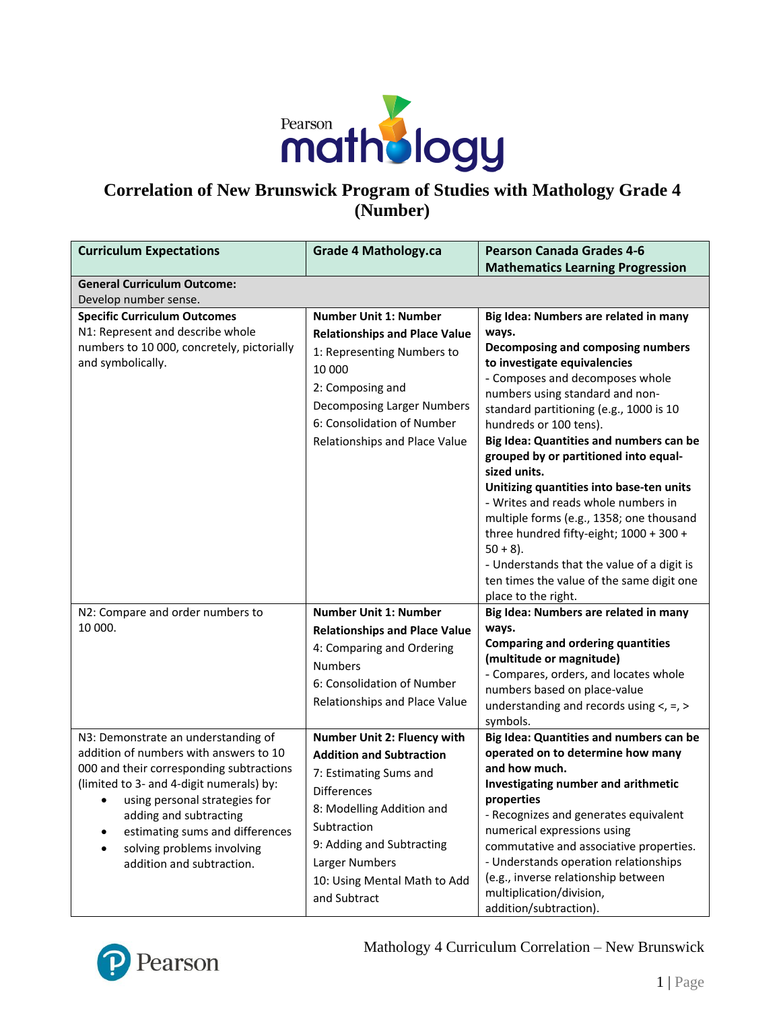

# **Correlation of New Brunswick Program of Studies with Mathology Grade 4 (Number)**

| <b>Curriculum Expectations</b>                                                                                                                                                                                                                                                                                                      | <b>Grade 4 Mathology.ca</b>                                                                                                                                                                                                                               | <b>Pearson Canada Grades 4-6</b>                                                                                                                                                                                                                                                                                                                                                                                                                                                                                                                                                                                                     |
|-------------------------------------------------------------------------------------------------------------------------------------------------------------------------------------------------------------------------------------------------------------------------------------------------------------------------------------|-----------------------------------------------------------------------------------------------------------------------------------------------------------------------------------------------------------------------------------------------------------|--------------------------------------------------------------------------------------------------------------------------------------------------------------------------------------------------------------------------------------------------------------------------------------------------------------------------------------------------------------------------------------------------------------------------------------------------------------------------------------------------------------------------------------------------------------------------------------------------------------------------------------|
|                                                                                                                                                                                                                                                                                                                                     |                                                                                                                                                                                                                                                           | <b>Mathematics Learning Progression</b>                                                                                                                                                                                                                                                                                                                                                                                                                                                                                                                                                                                              |
| <b>General Curriculum Outcome:</b><br>Develop number sense.                                                                                                                                                                                                                                                                         |                                                                                                                                                                                                                                                           |                                                                                                                                                                                                                                                                                                                                                                                                                                                                                                                                                                                                                                      |
| <b>Specific Curriculum Outcomes</b>                                                                                                                                                                                                                                                                                                 | <b>Number Unit 1: Number</b>                                                                                                                                                                                                                              | Big Idea: Numbers are related in many                                                                                                                                                                                                                                                                                                                                                                                                                                                                                                                                                                                                |
| N1: Represent and describe whole<br>numbers to 10 000, concretely, pictorially<br>and symbolically.                                                                                                                                                                                                                                 | <b>Relationships and Place Value</b><br>1: Representing Numbers to<br>10 000<br>2: Composing and<br>Decomposing Larger Numbers<br>6: Consolidation of Number<br>Relationships and Place Value                                                             | ways.<br>Decomposing and composing numbers<br>to investigate equivalencies<br>- Composes and decomposes whole<br>numbers using standard and non-<br>standard partitioning (e.g., 1000 is 10<br>hundreds or 100 tens).<br>Big Idea: Quantities and numbers can be<br>grouped by or partitioned into equal-<br>sized units.<br>Unitizing quantities into base-ten units<br>- Writes and reads whole numbers in<br>multiple forms (e.g., 1358; one thousand<br>three hundred fifty-eight; 1000 + 300 +<br>$50 + 8$ ).<br>- Understands that the value of a digit is<br>ten times the value of the same digit one<br>place to the right. |
| N2: Compare and order numbers to                                                                                                                                                                                                                                                                                                    | <b>Number Unit 1: Number</b>                                                                                                                                                                                                                              | Big Idea: Numbers are related in many                                                                                                                                                                                                                                                                                                                                                                                                                                                                                                                                                                                                |
| 10 000.                                                                                                                                                                                                                                                                                                                             | <b>Relationships and Place Value</b><br>4: Comparing and Ordering<br><b>Numbers</b><br>6: Consolidation of Number<br>Relationships and Place Value                                                                                                        | ways.<br><b>Comparing and ordering quantities</b><br>(multitude or magnitude)<br>- Compares, orders, and locates whole<br>numbers based on place-value<br>understanding and records using $\lt$ , =, ><br>symbols.                                                                                                                                                                                                                                                                                                                                                                                                                   |
| N3: Demonstrate an understanding of<br>addition of numbers with answers to 10<br>000 and their corresponding subtractions<br>(limited to 3- and 4-digit numerals) by:<br>using personal strategies for<br>٠<br>adding and subtracting<br>estimating sums and differences<br>solving problems involving<br>addition and subtraction. | Number Unit 2: Fluency with<br><b>Addition and Subtraction</b><br>7: Estimating Sums and<br><b>Differences</b><br>8: Modelling Addition and<br>Subtraction<br>9: Adding and Subtracting<br>Larger Numbers<br>10: Using Mental Math to Add<br>and Subtract | Big Idea: Quantities and numbers can be<br>operated on to determine how many<br>and how much.<br>Investigating number and arithmetic<br>properties<br>- Recognizes and generates equivalent<br>numerical expressions using<br>commutative and associative properties.<br>- Understands operation relationships<br>(e.g., inverse relationship between<br>multiplication/division,<br>addition/subtraction).                                                                                                                                                                                                                          |

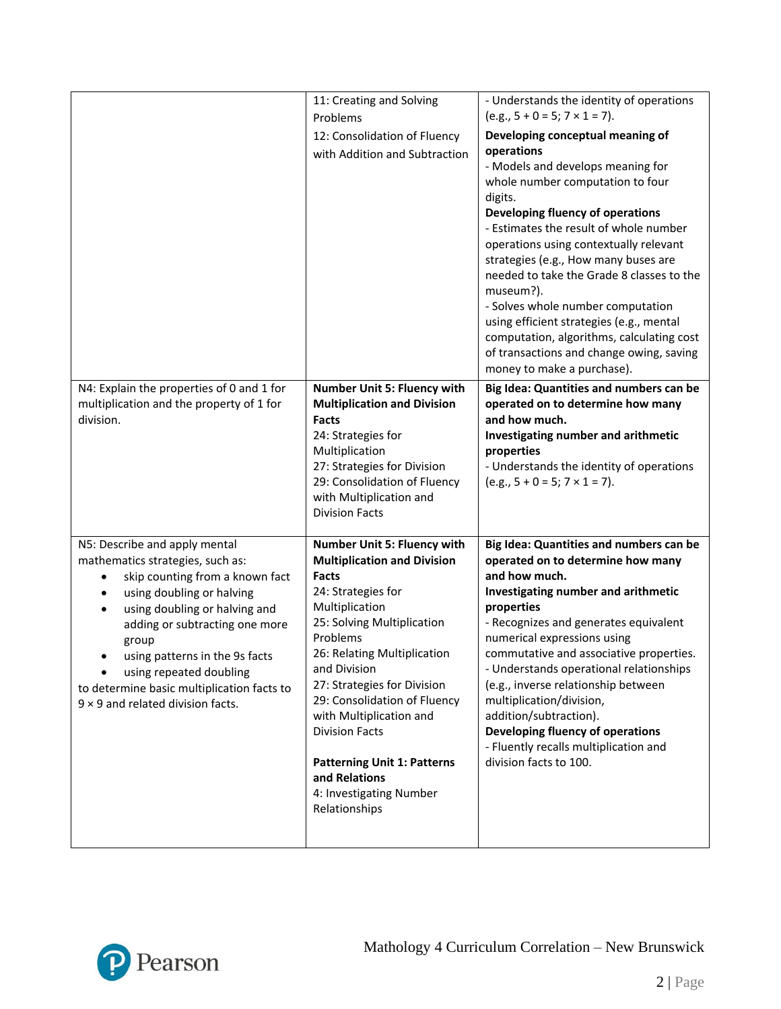|                                                                                        | 11: Creating and Solving                                      | - Understands the identity of operations<br>$(e.g., 5 + 0 = 5; 7 \times 1 = 7).$   |
|----------------------------------------------------------------------------------------|---------------------------------------------------------------|------------------------------------------------------------------------------------|
|                                                                                        | Problems                                                      | Developing conceptual meaning of                                                   |
|                                                                                        | 12: Consolidation of Fluency<br>with Addition and Subtraction | operations                                                                         |
|                                                                                        |                                                               | - Models and develops meaning for                                                  |
|                                                                                        |                                                               | whole number computation to four                                                   |
|                                                                                        |                                                               | digits.<br>Developing fluency of operations                                        |
|                                                                                        |                                                               | - Estimates the result of whole number                                             |
|                                                                                        |                                                               | operations using contextually relevant                                             |
|                                                                                        |                                                               | strategies (e.g., How many buses are                                               |
|                                                                                        |                                                               | needed to take the Grade 8 classes to the<br>museum?).                             |
|                                                                                        |                                                               | - Solves whole number computation                                                  |
|                                                                                        |                                                               | using efficient strategies (e.g., mental                                           |
|                                                                                        |                                                               | computation, algorithms, calculating cost                                          |
|                                                                                        |                                                               | of transactions and change owing, saving<br>money to make a purchase).             |
| N4: Explain the properties of 0 and 1 for                                              | <b>Number Unit 5: Fluency with</b>                            | Big Idea: Quantities and numbers can be                                            |
| multiplication and the property of 1 for                                               | <b>Multiplication and Division</b>                            | operated on to determine how many                                                  |
| division.                                                                              | Facts                                                         | and how much.                                                                      |
|                                                                                        | 24: Strategies for                                            | Investigating number and arithmetic                                                |
|                                                                                        | Multiplication<br>27: Strategies for Division                 | properties<br>- Understands the identity of operations                             |
|                                                                                        | 29: Consolidation of Fluency                                  | $(e.g., 5 + 0 = 5; 7 \times 1 = 7).$                                               |
|                                                                                        | with Multiplication and                                       |                                                                                    |
|                                                                                        | <b>Division Facts</b>                                         |                                                                                    |
| N5: Describe and apply mental                                                          | Number Unit 5: Fluency with                                   | Big Idea: Quantities and numbers can be                                            |
| mathematics strategies, such as:                                                       | <b>Multiplication and Division</b><br>Facts                   | operated on to determine how many<br>and how much.                                 |
| skip counting from a known fact<br>$\bullet$<br>using doubling or halving<br>$\bullet$ | 24: Strategies for                                            | Investigating number and arithmetic                                                |
| using doubling or halving and                                                          | Multiplication                                                | properties                                                                         |
| adding or subtracting one more                                                         | 25: Solving Multiplication                                    | - Recognizes and generates equivalent                                              |
| group                                                                                  | Problems                                                      | numerical expressions using                                                        |
| using patterns in the 9s facts                                                         | 26: Relating Multiplication<br>and Division                   | commutative and associative properties.<br>- Understands operational relationships |
| using repeated doubling<br>to determine basic multiplication facts to                  | 27: Strategies for Division                                   | (e.g., inverse relationship between                                                |
| $9 \times 9$ and related division facts.                                               | 29: Consolidation of Fluency                                  | multiplication/division,                                                           |
|                                                                                        | with Multiplication and                                       | addition/subtraction).                                                             |
|                                                                                        | <b>Division Facts</b>                                         | Developing fluency of operations<br>- Fluently recalls multiplication and          |
|                                                                                        | <b>Patterning Unit 1: Patterns</b>                            | division facts to 100.                                                             |
|                                                                                        | and Relations                                                 |                                                                                    |
|                                                                                        | 4: Investigating Number                                       |                                                                                    |
|                                                                                        | Relationships                                                 |                                                                                    |
|                                                                                        |                                                               |                                                                                    |

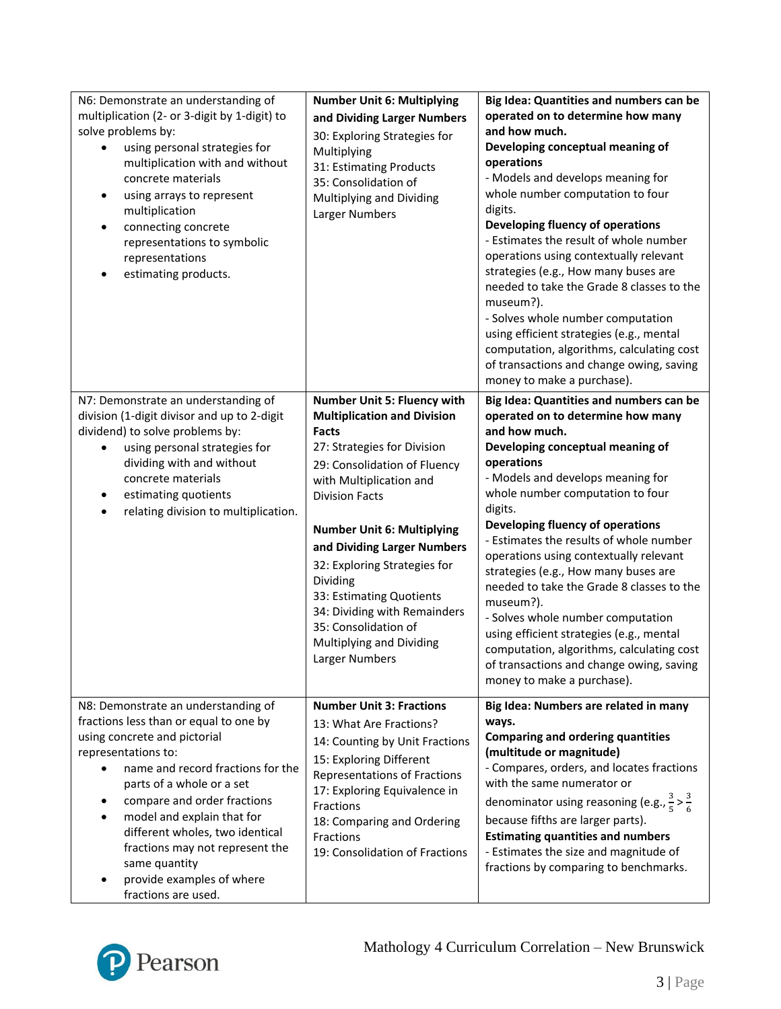| N6: Demonstrate an understanding of<br>multiplication (2- or 3-digit by 1-digit) to<br>solve problems by:<br>using personal strategies for<br>multiplication with and without<br>concrete materials<br>using arrays to represent<br>$\bullet$<br>multiplication<br>connecting concrete<br>representations to symbolic<br>representations<br>estimating products.                                               | <b>Number Unit 6: Multiplying</b><br>and Dividing Larger Numbers<br>30: Exploring Strategies for<br>Multiplying<br>31: Estimating Products<br>35: Consolidation of<br>Multiplying and Dividing<br>Larger Numbers                                                                                                                                                                                                                                              | Big Idea: Quantities and numbers can be<br>operated on to determine how many<br>and how much.<br>Developing conceptual meaning of<br>operations<br>- Models and develops meaning for<br>whole number computation to four<br>digits.<br><b>Developing fluency of operations</b><br>- Estimates the result of whole number<br>operations using contextually relevant<br>strategies (e.g., How many buses are<br>needed to take the Grade 8 classes to the<br>museum?).<br>- Solves whole number computation<br>using efficient strategies (e.g., mental<br>computation, algorithms, calculating cost<br>of transactions and change owing, saving<br>money to make a purchase). |
|----------------------------------------------------------------------------------------------------------------------------------------------------------------------------------------------------------------------------------------------------------------------------------------------------------------------------------------------------------------------------------------------------------------|---------------------------------------------------------------------------------------------------------------------------------------------------------------------------------------------------------------------------------------------------------------------------------------------------------------------------------------------------------------------------------------------------------------------------------------------------------------|------------------------------------------------------------------------------------------------------------------------------------------------------------------------------------------------------------------------------------------------------------------------------------------------------------------------------------------------------------------------------------------------------------------------------------------------------------------------------------------------------------------------------------------------------------------------------------------------------------------------------------------------------------------------------|
| N7: Demonstrate an understanding of<br>division (1-digit divisor and up to 2-digit<br>dividend) to solve problems by:<br>using personal strategies for<br>dividing with and without<br>concrete materials<br>estimating quotients<br>relating division to multiplication.                                                                                                                                      | <b>Number Unit 5: Fluency with</b><br><b>Multiplication and Division</b><br><b>Facts</b><br>27: Strategies for Division<br>29: Consolidation of Fluency<br>with Multiplication and<br><b>Division Facts</b><br><b>Number Unit 6: Multiplying</b><br>and Dividing Larger Numbers<br>32: Exploring Strategies for<br>Dividing<br>33: Estimating Quotients<br>34: Dividing with Remainders<br>35: Consolidation of<br>Multiplying and Dividing<br>Larger Numbers | Big Idea: Quantities and numbers can be<br>operated on to determine how many<br>and how much.<br>Developing conceptual meaning of<br>operations<br>- Models and develops meaning for<br>whole number computation to four<br>digits.<br>Developing fluency of operations<br>- Estimates the results of whole number<br>operations using contextually relevant<br>strategies (e.g., How many buses are<br>needed to take the Grade 8 classes to the<br>museum?).<br>- Solves whole number computation<br>using efficient strategies (e.g., mental<br>computation, algorithms, calculating cost<br>of transactions and change owing, saving<br>money to make a purchase).       |
| N8: Demonstrate an understanding of<br>fractions less than or equal to one by<br>using concrete and pictorial<br>representations to:<br>name and record fractions for the<br>parts of a whole or a set<br>compare and order fractions<br>model and explain that for<br>different wholes, two identical<br>fractions may not represent the<br>same quantity<br>provide examples of where<br>fractions are used. | <b>Number Unit 3: Fractions</b><br>13: What Are Fractions?<br>14: Counting by Unit Fractions<br>15: Exploring Different<br>Representations of Fractions<br>17: Exploring Equivalence in<br>Fractions<br>18: Comparing and Ordering<br>Fractions<br>19: Consolidation of Fractions                                                                                                                                                                             | Big Idea: Numbers are related in many<br>ways.<br><b>Comparing and ordering quantities</b><br>(multitude or magnitude)<br>- Compares, orders, and locates fractions<br>with the same numerator or<br>denominator using reasoning (e.g., $\frac{3}{5} > \frac{3}{6}$<br>because fifths are larger parts).<br><b>Estimating quantities and numbers</b><br>- Estimates the size and magnitude of<br>fractions by comparing to benchmarks.                                                                                                                                                                                                                                       |

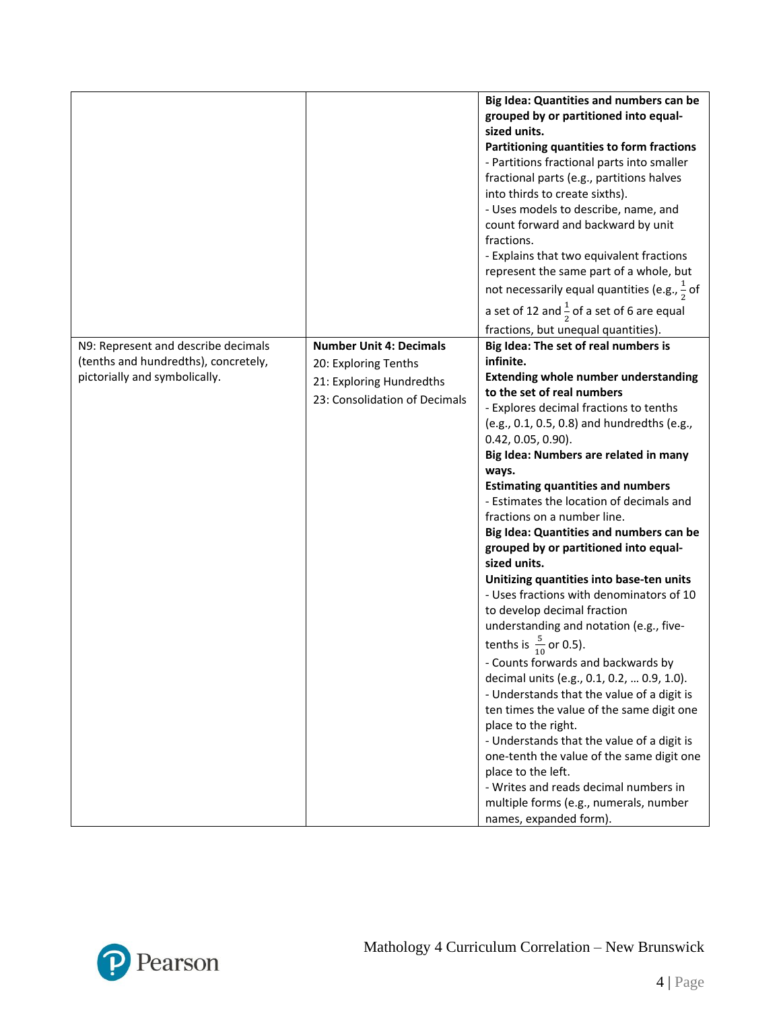|                                      |                                | Big Idea: Quantities and numbers can be                  |
|--------------------------------------|--------------------------------|----------------------------------------------------------|
|                                      |                                | grouped by or partitioned into equal-                    |
|                                      |                                | sized units.                                             |
|                                      |                                | Partitioning quantities to form fractions                |
|                                      |                                | - Partitions fractional parts into smaller               |
|                                      |                                | fractional parts (e.g., partitions halves                |
|                                      |                                | into thirds to create sixths).                           |
|                                      |                                | - Uses models to describe, name, and                     |
|                                      |                                | count forward and backward by unit                       |
|                                      |                                | fractions.                                               |
|                                      |                                | - Explains that two equivalent fractions                 |
|                                      |                                | represent the same part of a whole, but                  |
|                                      |                                | not necessarily equal quantities (e.g., $\frac{1}{2}$ of |
|                                      |                                | a set of 12 and $\frac{1}{2}$ of a set of 6 are equal    |
|                                      |                                | fractions, but unequal quantities).                      |
| N9: Represent and describe decimals  | <b>Number Unit 4: Decimals</b> | Big Idea: The set of real numbers is                     |
| (tenths and hundredths), concretely, | 20: Exploring Tenths           | infinite.                                                |
| pictorially and symbolically.        | 21: Exploring Hundredths       | <b>Extending whole number understanding</b>              |
|                                      | 23: Consolidation of Decimals  | to the set of real numbers                               |
|                                      |                                | - Explores decimal fractions to tenths                   |
|                                      |                                | (e.g., 0.1, 0.5, 0.8) and hundredths (e.g.,              |
|                                      |                                | $0.42, 0.05, 0.90$ ).                                    |
|                                      |                                | Big Idea: Numbers are related in many                    |
|                                      |                                | ways.                                                    |
|                                      |                                | <b>Estimating quantities and numbers</b>                 |
|                                      |                                | - Estimates the location of decimals and                 |
|                                      |                                | fractions on a number line.                              |
|                                      |                                | Big Idea: Quantities and numbers can be                  |
|                                      |                                | grouped by or partitioned into equal-                    |
|                                      |                                | sized units.                                             |
|                                      |                                | Unitizing quantities into base-ten units                 |
|                                      |                                | - Uses fractions with denominators of 10                 |
|                                      |                                | to develop decimal fraction                              |
|                                      |                                | understanding and notation (e.g., five-                  |
|                                      |                                | tenths is $\frac{5}{10}$ or 0.5).                        |
|                                      |                                | - Counts forwards and backwards by                       |
|                                      |                                | decimal units (e.g., 0.1, 0.2,  0.9, 1.0).               |
|                                      |                                | - Understands that the value of a digit is               |
|                                      |                                | ten times the value of the same digit one                |
|                                      |                                | place to the right.                                      |
|                                      |                                | - Understands that the value of a digit is               |
|                                      |                                | one-tenth the value of the same digit one                |
|                                      |                                | place to the left.                                       |
|                                      |                                | - Writes and reads decimal numbers in                    |
|                                      |                                | multiple forms (e.g., numerals, number                   |
|                                      |                                | names, expanded form).                                   |

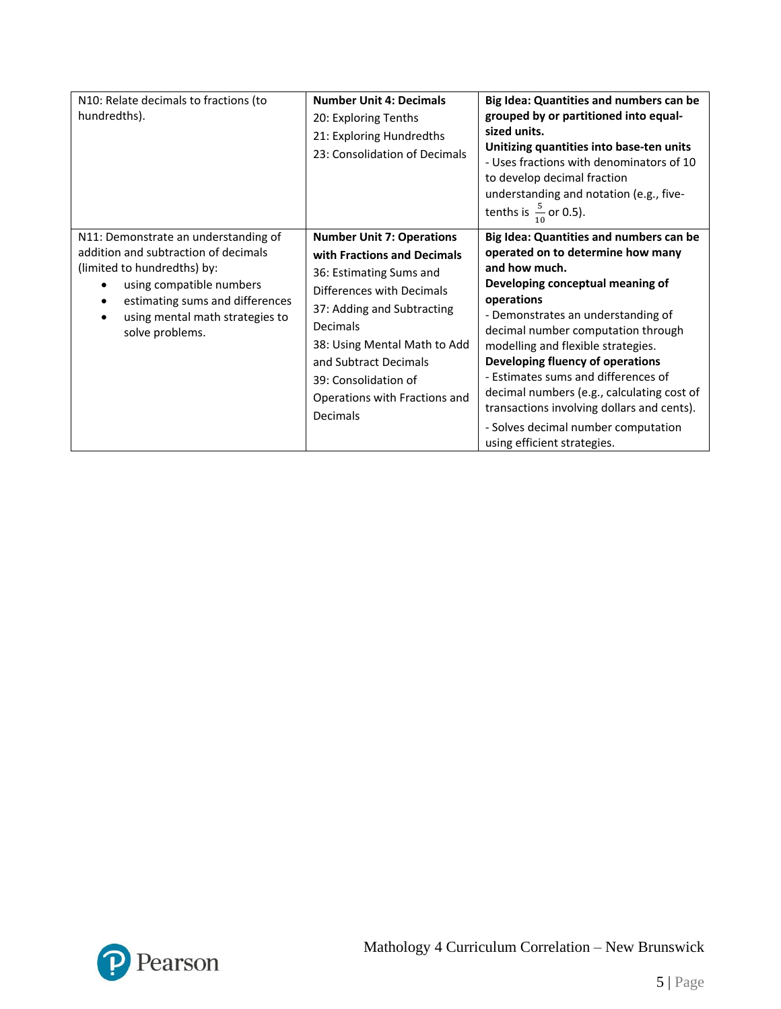| N10: Relate decimals to fractions (to<br>hundredths).                                                                                                                                                                            | <b>Number Unit 4: Decimals</b><br>20: Exploring Tenths<br>21: Exploring Hundredths<br>23: Consolidation of Decimals                                                                                                                                                                             | Big Idea: Quantities and numbers can be<br>grouped by or partitioned into equal-<br>sized units.<br>Unitizing quantities into base-ten units<br>- Uses fractions with denominators of 10<br>to develop decimal fraction<br>understanding and notation (e.g., five-<br>tenths is $\frac{5}{10}$ or 0.5).                                                                                                                                                                                                        |
|----------------------------------------------------------------------------------------------------------------------------------------------------------------------------------------------------------------------------------|-------------------------------------------------------------------------------------------------------------------------------------------------------------------------------------------------------------------------------------------------------------------------------------------------|----------------------------------------------------------------------------------------------------------------------------------------------------------------------------------------------------------------------------------------------------------------------------------------------------------------------------------------------------------------------------------------------------------------------------------------------------------------------------------------------------------------|
| N11: Demonstrate an understanding of<br>addition and subtraction of decimals<br>(limited to hundredths) by:<br>using compatible numbers<br>estimating sums and differences<br>using mental math strategies to<br>solve problems. | <b>Number Unit 7: Operations</b><br>with Fractions and Decimals<br>36: Estimating Sums and<br>Differences with Decimals<br>37: Adding and Subtracting<br>Decimals<br>38: Using Mental Math to Add<br>and Subtract Decimals<br>39: Consolidation of<br>Operations with Fractions and<br>Decimals | Big Idea: Quantities and numbers can be<br>operated on to determine how many<br>and how much.<br>Developing conceptual meaning of<br>operations<br>- Demonstrates an understanding of<br>decimal number computation through<br>modelling and flexible strategies.<br>Developing fluency of operations<br>- Estimates sums and differences of<br>decimal numbers (e.g., calculating cost of<br>transactions involving dollars and cents).<br>- Solves decimal number computation<br>using efficient strategies. |

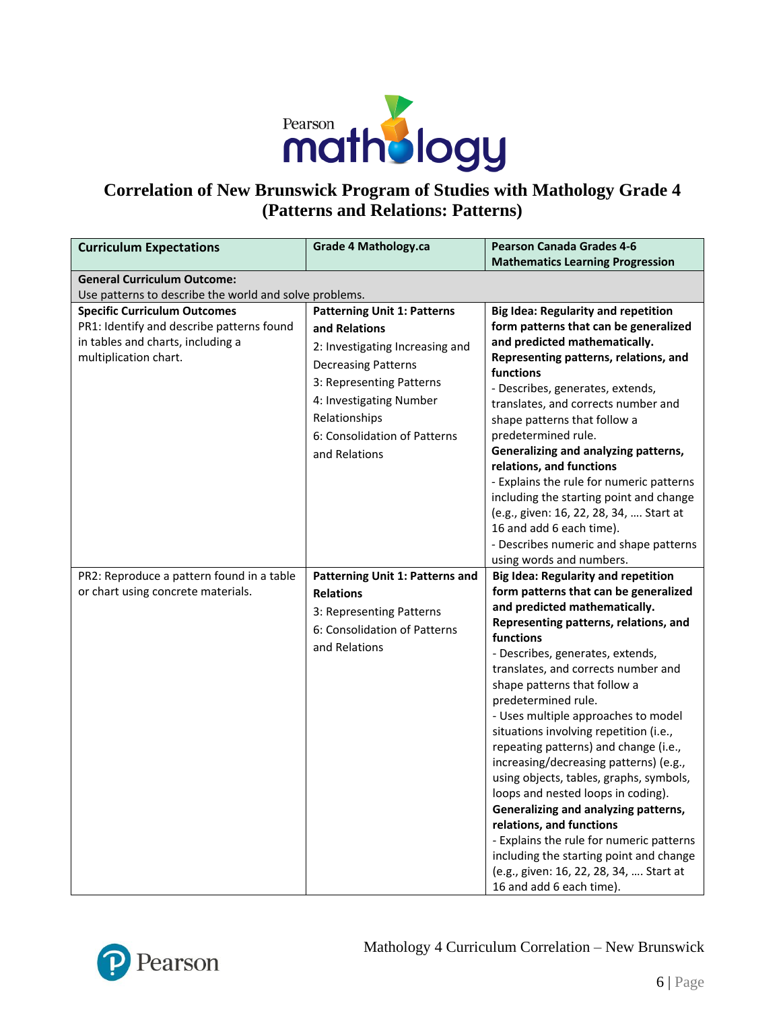

# **Correlation of New Brunswick Program of Studies with Mathology Grade 4 (Patterns and Relations: Patterns)**

| <b>Curriculum Expectations</b>                                                                                                                 | <b>Grade 4 Mathology.ca</b>                                                                                                                                                                                                                   | <b>Pearson Canada Grades 4-6</b><br><b>Mathematics Learning Progression</b>                                                                                                                                                                                                                                                                                                                                                                                                                                                                                                                                                                                                                                                                                                                         |
|------------------------------------------------------------------------------------------------------------------------------------------------|-----------------------------------------------------------------------------------------------------------------------------------------------------------------------------------------------------------------------------------------------|-----------------------------------------------------------------------------------------------------------------------------------------------------------------------------------------------------------------------------------------------------------------------------------------------------------------------------------------------------------------------------------------------------------------------------------------------------------------------------------------------------------------------------------------------------------------------------------------------------------------------------------------------------------------------------------------------------------------------------------------------------------------------------------------------------|
| <b>General Curriculum Outcome:</b>                                                                                                             |                                                                                                                                                                                                                                               |                                                                                                                                                                                                                                                                                                                                                                                                                                                                                                                                                                                                                                                                                                                                                                                                     |
| Use patterns to describe the world and solve problems.                                                                                         |                                                                                                                                                                                                                                               |                                                                                                                                                                                                                                                                                                                                                                                                                                                                                                                                                                                                                                                                                                                                                                                                     |
| <b>Specific Curriculum Outcomes</b><br>PR1: Identify and describe patterns found<br>in tables and charts, including a<br>multiplication chart. | <b>Patterning Unit 1: Patterns</b><br>and Relations<br>2: Investigating Increasing and<br><b>Decreasing Patterns</b><br>3: Representing Patterns<br>4: Investigating Number<br>Relationships<br>6: Consolidation of Patterns<br>and Relations | <b>Big Idea: Regularity and repetition</b><br>form patterns that can be generalized<br>and predicted mathematically.<br>Representing patterns, relations, and<br>functions<br>- Describes, generates, extends,<br>translates, and corrects number and<br>shape patterns that follow a<br>predetermined rule.<br>Generalizing and analyzing patterns,<br>relations, and functions<br>- Explains the rule for numeric patterns<br>including the starting point and change<br>(e.g., given: 16, 22, 28, 34,  Start at<br>16 and add 6 each time).<br>- Describes numeric and shape patterns                                                                                                                                                                                                            |
|                                                                                                                                                |                                                                                                                                                                                                                                               | using words and numbers.                                                                                                                                                                                                                                                                                                                                                                                                                                                                                                                                                                                                                                                                                                                                                                            |
| PR2: Reproduce a pattern found in a table<br>or chart using concrete materials.                                                                | Patterning Unit 1: Patterns and<br><b>Relations</b><br>3: Representing Patterns<br>6: Consolidation of Patterns<br>and Relations                                                                                                              | <b>Big Idea: Regularity and repetition</b><br>form patterns that can be generalized<br>and predicted mathematically.<br>Representing patterns, relations, and<br>functions<br>- Describes, generates, extends,<br>translates, and corrects number and<br>shape patterns that follow a<br>predetermined rule.<br>- Uses multiple approaches to model<br>situations involving repetition (i.e.,<br>repeating patterns) and change (i.e.,<br>increasing/decreasing patterns) (e.g.,<br>using objects, tables, graphs, symbols,<br>loops and nested loops in coding).<br>Generalizing and analyzing patterns,<br>relations, and functions<br>- Explains the rule for numeric patterns<br>including the starting point and change<br>(e.g., given: 16, 22, 28, 34,  Start at<br>16 and add 6 each time). |

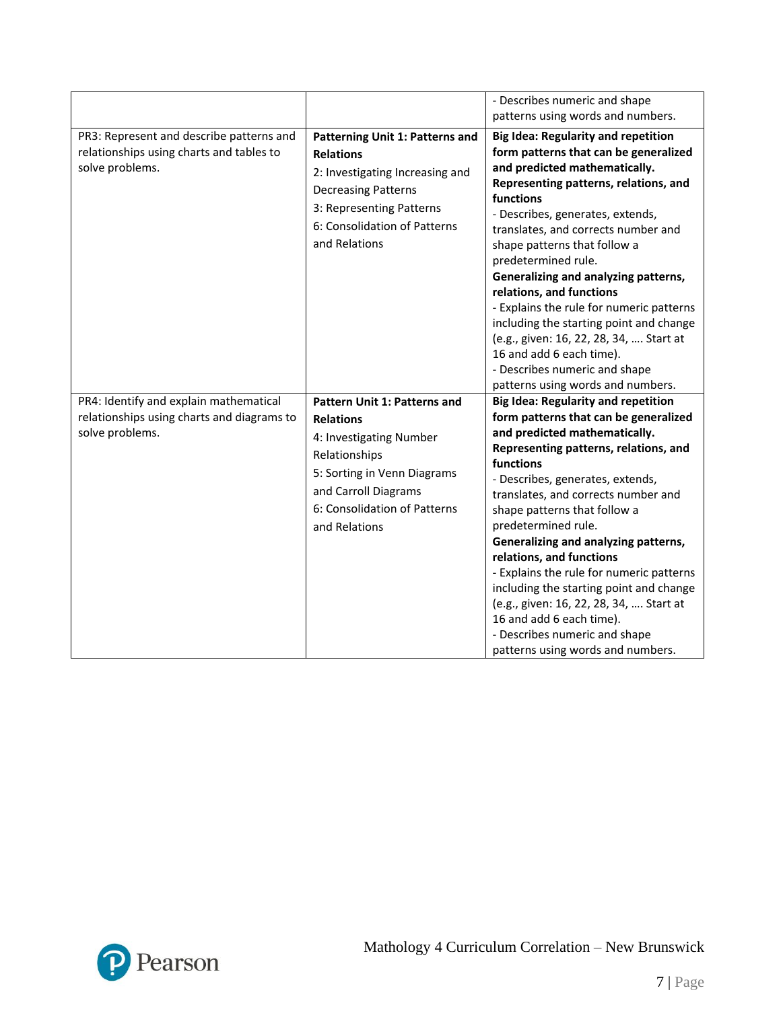|                                                                                                         |                                                                                                                                                                                                      | - Describes numeric and shape<br>patterns using words and numbers.                                                                                                                                                                                                                                                                                                                                                                                                                                                                                                                                                   |
|---------------------------------------------------------------------------------------------------------|------------------------------------------------------------------------------------------------------------------------------------------------------------------------------------------------------|----------------------------------------------------------------------------------------------------------------------------------------------------------------------------------------------------------------------------------------------------------------------------------------------------------------------------------------------------------------------------------------------------------------------------------------------------------------------------------------------------------------------------------------------------------------------------------------------------------------------|
| PR3: Represent and describe patterns and<br>relationships using charts and tables to<br>solve problems. | Patterning Unit 1: Patterns and<br><b>Relations</b><br>2: Investigating Increasing and<br><b>Decreasing Patterns</b><br>3: Representing Patterns<br>6: Consolidation of Patterns<br>and Relations    | <b>Big Idea: Regularity and repetition</b><br>form patterns that can be generalized<br>and predicted mathematically.<br>Representing patterns, relations, and<br>functions<br>- Describes, generates, extends,<br>translates, and corrects number and<br>shape patterns that follow a<br>predetermined rule.<br>Generalizing and analyzing patterns,<br>relations, and functions<br>- Explains the rule for numeric patterns<br>including the starting point and change<br>(e.g., given: 16, 22, 28, 34,  Start at<br>16 and add 6 each time).<br>- Describes numeric and shape<br>patterns using words and numbers. |
| PR4: Identify and explain mathematical<br>relationships using charts and diagrams to<br>solve problems. | Pattern Unit 1: Patterns and<br><b>Relations</b><br>4: Investigating Number<br>Relationships<br>5: Sorting in Venn Diagrams<br>and Carroll Diagrams<br>6: Consolidation of Patterns<br>and Relations | <b>Big Idea: Regularity and repetition</b><br>form patterns that can be generalized<br>and predicted mathematically.<br>Representing patterns, relations, and<br>functions<br>- Describes, generates, extends,<br>translates, and corrects number and<br>shape patterns that follow a<br>predetermined rule.<br>Generalizing and analyzing patterns,<br>relations, and functions<br>- Explains the rule for numeric patterns<br>including the starting point and change<br>(e.g., given: 16, 22, 28, 34,  Start at<br>16 and add 6 each time).<br>- Describes numeric and shape<br>patterns using words and numbers. |

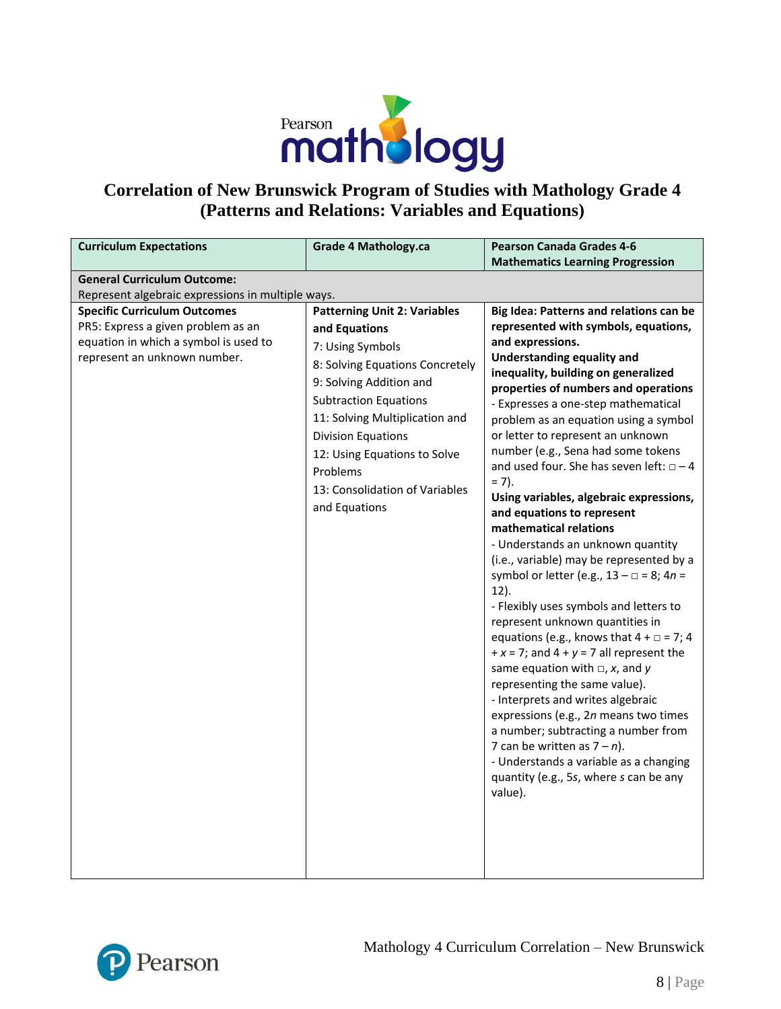

## **Correlation of New Brunswick Program of Studies with Mathology Grade 4 (Patterns and Relations: Variables and Equations)**

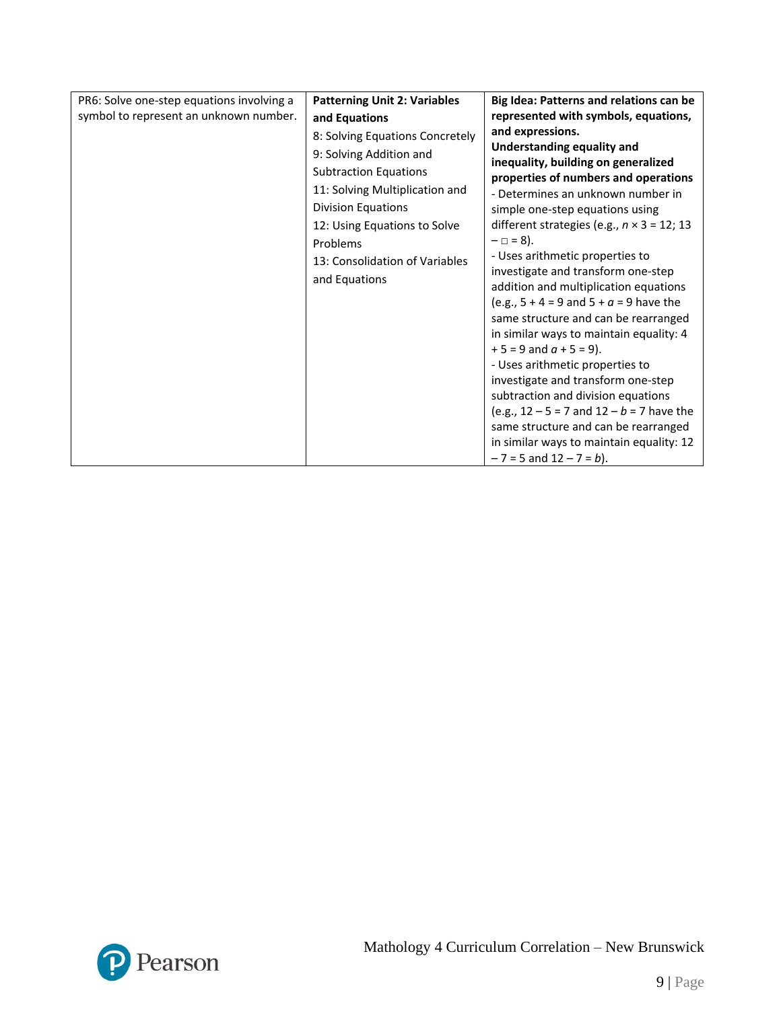| PR6: Solve one-step equations involving a | <b>Patterning Unit 2: Variables</b>                                                                                                                                                                                                                      | Big Idea: Patterns and relations can be                                                                                                                                                                                                                                                                                                                                                                                                           |
|-------------------------------------------|----------------------------------------------------------------------------------------------------------------------------------------------------------------------------------------------------------------------------------------------------------|---------------------------------------------------------------------------------------------------------------------------------------------------------------------------------------------------------------------------------------------------------------------------------------------------------------------------------------------------------------------------------------------------------------------------------------------------|
| symbol to represent an unknown number.    | and Equations                                                                                                                                                                                                                                            | represented with symbols, equations,                                                                                                                                                                                                                                                                                                                                                                                                              |
|                                           | 8: Solving Equations Concretely<br>9: Solving Addition and<br><b>Subtraction Equations</b><br>11: Solving Multiplication and<br><b>Division Equations</b><br>12: Using Equations to Solve<br>Problems<br>13: Consolidation of Variables<br>and Equations | and expressions.<br><b>Understanding equality and</b><br>inequality, building on generalized<br>properties of numbers and operations<br>- Determines an unknown number in<br>simple one-step equations using<br>different strategies (e.g., $n \times 3 = 12$ ; 13<br>$-\Box = 8$ ).<br>- Uses arithmetic properties to<br>investigate and transform one-step<br>addition and multiplication equations                                            |
|                                           |                                                                                                                                                                                                                                                          | (e.g., $5 + 4 = 9$ and $5 + a = 9$ have the<br>same structure and can be rearranged<br>in similar ways to maintain equality: 4<br>$+5 = 9$ and $a + 5 = 9$ ).<br>- Uses arithmetic properties to<br>investigate and transform one-step<br>subtraction and division equations<br>(e.g., $12 - 5 = 7$ and $12 - b = 7$ have the<br>same structure and can be rearranged<br>in similar ways to maintain equality: 12<br>$-7 = 5$ and $12 - 7 = b$ ). |

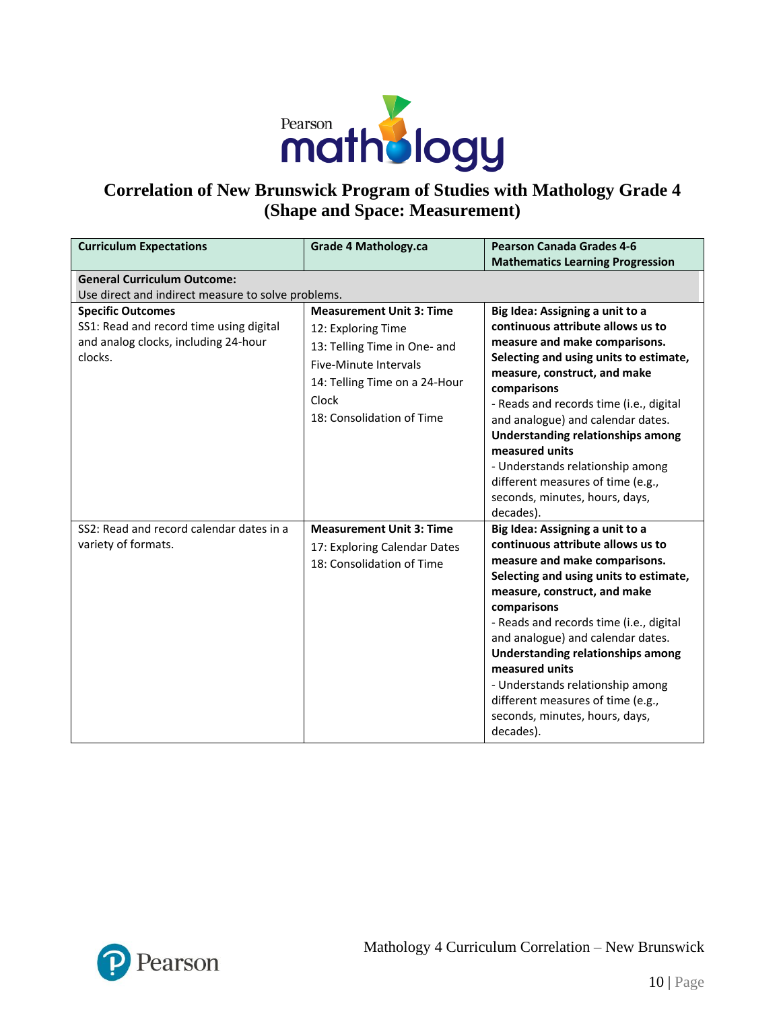

### **Correlation of New Brunswick Program of Studies with Mathology Grade 4 (Shape and Space: Measurement)**

| <b>Curriculum Expectations</b>                                                                                                                                               | <b>Grade 4 Mathology.ca</b>                                                                                                                                                                  | <b>Pearson Canada Grades 4-6</b><br><b>Mathematics Learning Progression</b>                                                                                                                                                                                                                                                                                                                                                                                                       |
|------------------------------------------------------------------------------------------------------------------------------------------------------------------------------|----------------------------------------------------------------------------------------------------------------------------------------------------------------------------------------------|-----------------------------------------------------------------------------------------------------------------------------------------------------------------------------------------------------------------------------------------------------------------------------------------------------------------------------------------------------------------------------------------------------------------------------------------------------------------------------------|
| <b>General Curriculum Outcome:</b>                                                                                                                                           |                                                                                                                                                                                              |                                                                                                                                                                                                                                                                                                                                                                                                                                                                                   |
| Use direct and indirect measure to solve problems.<br><b>Specific Outcomes</b><br>SS1: Read and record time using digital<br>and analog clocks, including 24-hour<br>clocks. | <b>Measurement Unit 3: Time</b><br>12: Exploring Time<br>13: Telling Time in One- and<br><b>Five-Minute Intervals</b><br>14: Telling Time on a 24-Hour<br>Clock<br>18: Consolidation of Time | Big Idea: Assigning a unit to a<br>continuous attribute allows us to<br>measure and make comparisons.<br>Selecting and using units to estimate,<br>measure, construct, and make<br>comparisons<br>- Reads and records time (i.e., digital<br>and analogue) and calendar dates.<br>Understanding relationships among<br>measured units<br>- Understands relationship among<br>different measures of time (e.g.,<br>seconds, minutes, hours, days,                                  |
| SS2: Read and record calendar dates in a<br>variety of formats.                                                                                                              | <b>Measurement Unit 3: Time</b><br>17: Exploring Calendar Dates<br>18: Consolidation of Time                                                                                                 | decades).<br>Big Idea: Assigning a unit to a<br>continuous attribute allows us to<br>measure and make comparisons.<br>Selecting and using units to estimate,<br>measure, construct, and make<br>comparisons<br>- Reads and records time (i.e., digital<br>and analogue) and calendar dates.<br><b>Understanding relationships among</b><br>measured units<br>- Understands relationship among<br>different measures of time (e.g.,<br>seconds, minutes, hours, days,<br>decades). |

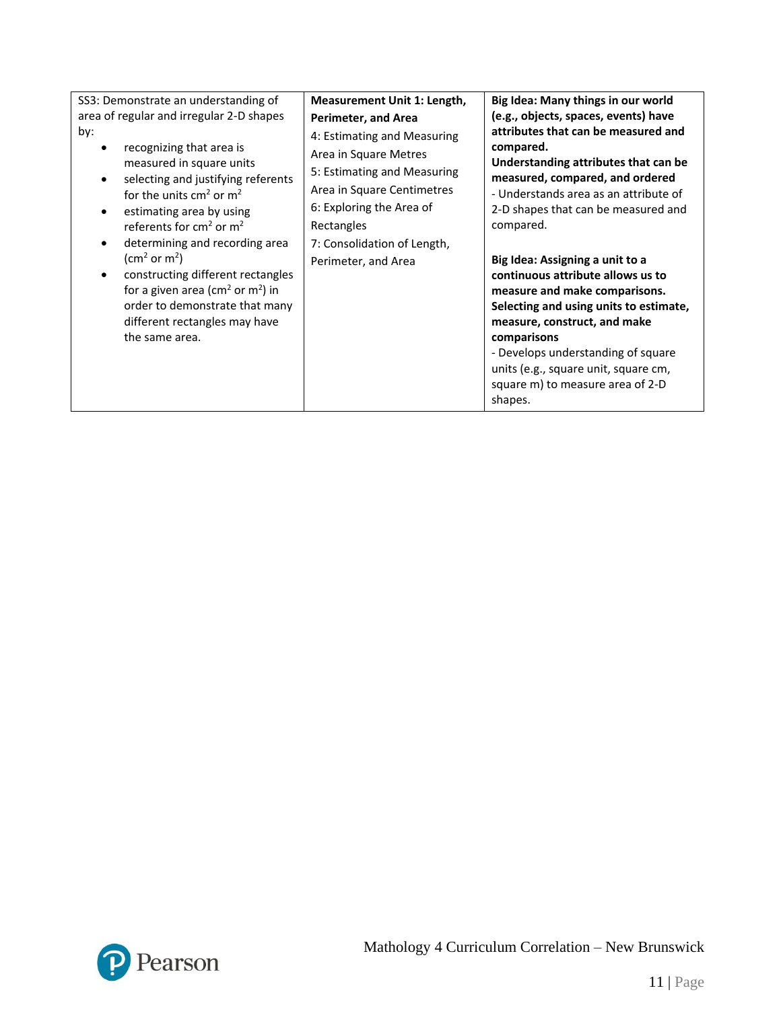| SS3: Demonstrate an understanding of<br>area of regular and irregular 2-D shapes<br>by:<br>recognizing that area is<br>measured in square units<br>selecting and justifying referents<br>for the units $cm2$ or $m2$<br>estimating area by using<br>referents for $cm2$ or $m2$<br>determining and recording area<br>(cm <sup>2</sup> or m <sup>2</sup> )<br>constructing different rectangles<br>for a given area (cm <sup>2</sup> or m <sup>2</sup> ) in<br>order to demonstrate that many<br>different rectangles may have<br>the same area. | Measurement Unit 1: Length,<br>Perimeter, and Area<br>4: Estimating and Measuring<br>Area in Square Metres<br>5: Estimating and Measuring<br>Area in Square Centimetres<br>6: Exploring the Area of<br>Rectangles<br>7: Consolidation of Length,<br>Perimeter, and Area | Big Idea: Many things in our world<br>(e.g., objects, spaces, events) have<br>attributes that can be measured and<br>compared.<br>Understanding attributes that can be<br>measured, compared, and ordered<br>- Understands area as an attribute of<br>2-D shapes that can be measured and<br>compared.<br>Big Idea: Assigning a unit to a<br>continuous attribute allows us to<br>measure and make comparisons.<br>Selecting and using units to estimate,<br>measure, construct, and make<br>comparisons<br>- Develops understanding of square<br>units (e.g., square unit, square cm,<br>square m) to measure area of 2-D<br>shapes. |
|-------------------------------------------------------------------------------------------------------------------------------------------------------------------------------------------------------------------------------------------------------------------------------------------------------------------------------------------------------------------------------------------------------------------------------------------------------------------------------------------------------------------------------------------------|-------------------------------------------------------------------------------------------------------------------------------------------------------------------------------------------------------------------------------------------------------------------------|---------------------------------------------------------------------------------------------------------------------------------------------------------------------------------------------------------------------------------------------------------------------------------------------------------------------------------------------------------------------------------------------------------------------------------------------------------------------------------------------------------------------------------------------------------------------------------------------------------------------------------------|
|-------------------------------------------------------------------------------------------------------------------------------------------------------------------------------------------------------------------------------------------------------------------------------------------------------------------------------------------------------------------------------------------------------------------------------------------------------------------------------------------------------------------------------------------------|-------------------------------------------------------------------------------------------------------------------------------------------------------------------------------------------------------------------------------------------------------------------------|---------------------------------------------------------------------------------------------------------------------------------------------------------------------------------------------------------------------------------------------------------------------------------------------------------------------------------------------------------------------------------------------------------------------------------------------------------------------------------------------------------------------------------------------------------------------------------------------------------------------------------------|

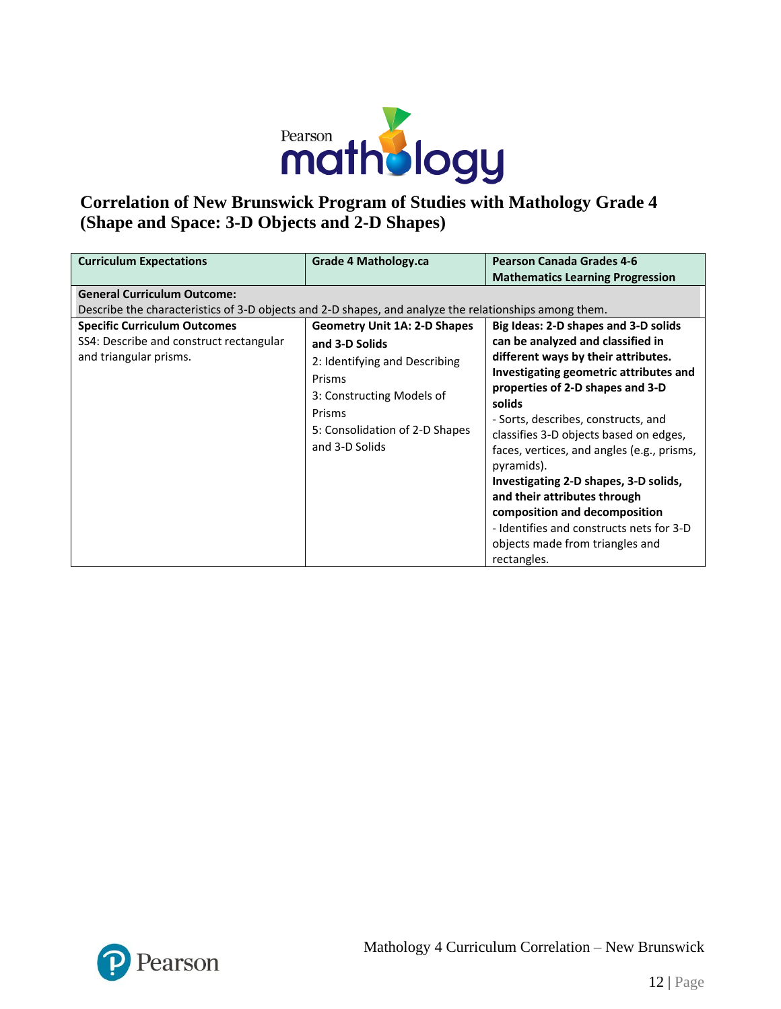

# **Correlation of New Brunswick Program of Studies with Mathology Grade 4 (Shape and Space: 3-D Objects and 2-D Shapes)**

| <b>Curriculum Expectations</b>                                                                           | Grade 4 Mathology.ca                                                                                                                                                                        | <b>Pearson Canada Grades 4-6</b>                                                                                                                                                                                                                                                                                                                                                                                                                                                                                                               |
|----------------------------------------------------------------------------------------------------------|---------------------------------------------------------------------------------------------------------------------------------------------------------------------------------------------|------------------------------------------------------------------------------------------------------------------------------------------------------------------------------------------------------------------------------------------------------------------------------------------------------------------------------------------------------------------------------------------------------------------------------------------------------------------------------------------------------------------------------------------------|
|                                                                                                          |                                                                                                                                                                                             | <b>Mathematics Learning Progression</b>                                                                                                                                                                                                                                                                                                                                                                                                                                                                                                        |
| <b>General Curriculum Outcome:</b>                                                                       |                                                                                                                                                                                             |                                                                                                                                                                                                                                                                                                                                                                                                                                                                                                                                                |
| Describe the characteristics of 3-D objects and 2-D shapes, and analyze the relationships among them.    |                                                                                                                                                                                             |                                                                                                                                                                                                                                                                                                                                                                                                                                                                                                                                                |
| <b>Specific Curriculum Outcomes</b><br>SS4: Describe and construct rectangular<br>and triangular prisms. | <b>Geometry Unit 1A: 2-D Shapes</b><br>and 3-D Solids<br>2: Identifying and Describing<br>Prisms<br>3: Constructing Models of<br>Prisms<br>5: Consolidation of 2-D Shapes<br>and 3-D Solids | Big Ideas: 2-D shapes and 3-D solids<br>can be analyzed and classified in<br>different ways by their attributes.<br>Investigating geometric attributes and<br>properties of 2-D shapes and 3-D<br>solids<br>- Sorts, describes, constructs, and<br>classifies 3-D objects based on edges,<br>faces, vertices, and angles (e.g., prisms,<br>pyramids).<br>Investigating 2-D shapes, 3-D solids,<br>and their attributes through<br>composition and decomposition<br>- Identifies and constructs nets for 3-D<br>objects made from triangles and |
|                                                                                                          |                                                                                                                                                                                             | rectangles.                                                                                                                                                                                                                                                                                                                                                                                                                                                                                                                                    |

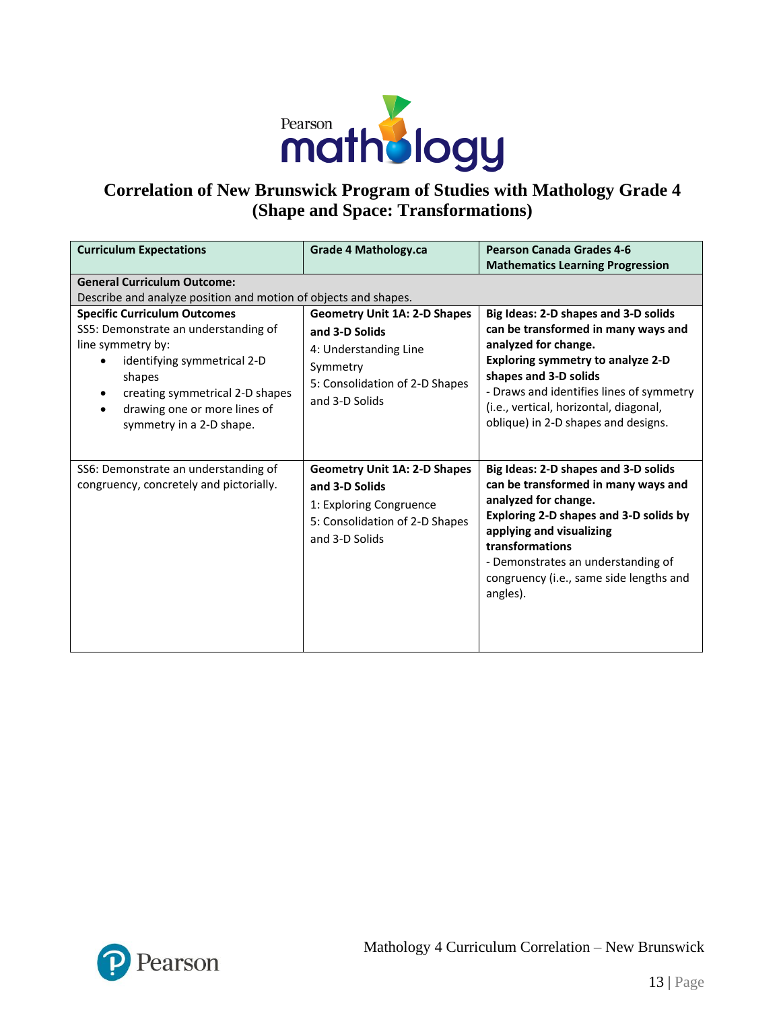

## **Correlation of New Brunswick Program of Studies with Mathology Grade 4 (Shape and Space: Transformations)**

| <b>Curriculum Expectations</b>                                                                                                                                                                                                           | <b>Grade 4 Mathology.ca</b>                                                                                                                    | <b>Pearson Canada Grades 4-6</b><br><b>Mathematics Learning Progression</b>                                                                                                                                                                                                                    |  |
|------------------------------------------------------------------------------------------------------------------------------------------------------------------------------------------------------------------------------------------|------------------------------------------------------------------------------------------------------------------------------------------------|------------------------------------------------------------------------------------------------------------------------------------------------------------------------------------------------------------------------------------------------------------------------------------------------|--|
| <b>General Curriculum Outcome:</b><br>Describe and analyze position and motion of objects and shapes.                                                                                                                                    |                                                                                                                                                |                                                                                                                                                                                                                                                                                                |  |
| <b>Specific Curriculum Outcomes</b><br>SS5: Demonstrate an understanding of<br>line symmetry by:<br>identifying symmetrical 2-D<br>shapes<br>creating symmetrical 2-D shapes<br>drawing one or more lines of<br>symmetry in a 2-D shape. | <b>Geometry Unit 1A: 2-D Shapes</b><br>and 3-D Solids<br>4: Understanding Line<br>Symmetry<br>5: Consolidation of 2-D Shapes<br>and 3-D Solids | Big Ideas: 2-D shapes and 3-D solids<br>can be transformed in many ways and<br>analyzed for change.<br>Exploring symmetry to analyze 2-D<br>shapes and 3-D solids<br>- Draws and identifies lines of symmetry<br>(i.e., vertical, horizontal, diagonal,<br>oblique) in 2-D shapes and designs. |  |
| SS6: Demonstrate an understanding of<br>congruency, concretely and pictorially.                                                                                                                                                          | <b>Geometry Unit 1A: 2-D Shapes</b><br>and 3-D Solids<br>1: Exploring Congruence<br>5: Consolidation of 2-D Shapes<br>and 3-D Solids           | Big Ideas: 2-D shapes and 3-D solids<br>can be transformed in many ways and<br>analyzed for change.<br>Exploring 2-D shapes and 3-D solids by<br>applying and visualizing<br>transformations<br>- Demonstrates an understanding of<br>congruency (i.e., same side lengths and<br>angles).      |  |